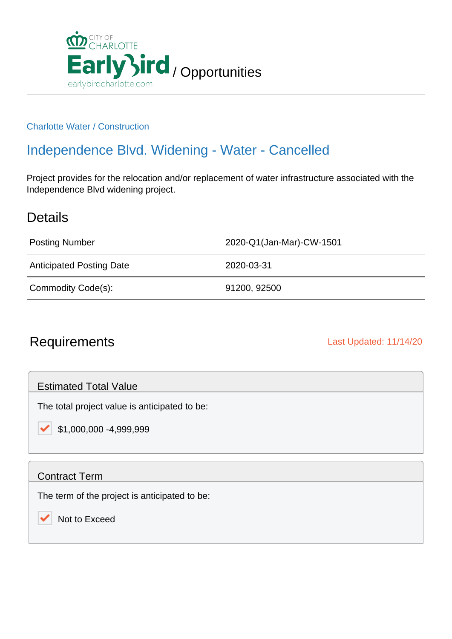

#### Charlotte Water / Construction

## Independence Blvd. Widening - Water - Cancelled

Project provides for the relocation and/or replacement of water infrastructure associated with the Independence Blvd widening project.

### **Details**

Posting Number 2020-Q1(Jan-Mar)-CW-1501

Anticipated Posting Date 2020-03-31

Commodity Code(s): 91200, 92500

### Requirements **Last Updated: 11/14/20**

Estimated Total Value

The total project value is anticipated to be:

\$1,000,000 -4,999,999

### Contract Term

✓

The term of the project is anticipated to be:

Not to Exceed